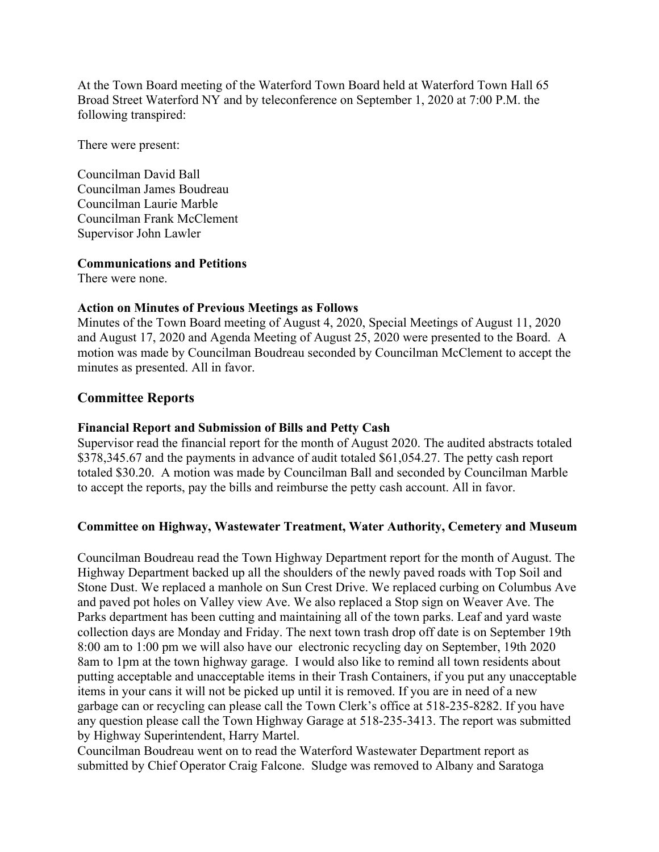At the Town Board meeting of the Waterford Town Board held at Waterford Town Hall 65 Broad Street Waterford NY and by teleconference on September 1, 2020 at 7:00 P.M. the following transpired:

There were present:

Councilman David Ball Councilman James Boudreau Councilman Laurie Marble Councilman Frank McClement Supervisor John Lawler

### **Communications and Petitions**

There were none.

### **Action on Minutes of Previous Meetings as Follows**

Minutes of the Town Board meeting of August 4, 2020, Special Meetings of August 11, 2020 and August 17, 2020 and Agenda Meeting of August 25, 2020 were presented to the Board. A motion was made by Councilman Boudreau seconded by Councilman McClement to accept the minutes as presented. All in favor.

# **Committee Reports**

### **Financial Report and Submission of Bills and Petty Cash**

Supervisor read the financial report for the month of August 2020. The audited abstracts totaled \$378,345.67 and the payments in advance of audit totaled \$61,054.27. The petty cash report totaled \$30.20. A motion was made by Councilman Ball and seconded by Councilman Marble to accept the reports, pay the bills and reimburse the petty cash account. All in favor.

# **Committee on Highway, Wastewater Treatment, Water Authority, Cemetery and Museum**

Councilman Boudreau read the Town Highway Department report for the month of August. The Highway Department backed up all the shoulders of the newly paved roads with Top Soil and Stone Dust. We replaced a manhole on Sun Crest Drive. We replaced curbing on Columbus Ave and paved pot holes on Valley view Ave. We also replaced a Stop sign on Weaver Ave. The Parks department has been cutting and maintaining all of the town parks. Leaf and yard waste collection days are Monday and Friday. The next town trash drop off date is on September 19th 8:00 am to 1:00 pm we will also have our electronic recycling day on September, 19th 2020 8am to 1pm at the town highway garage. I would also like to remind all town residents about putting acceptable and unacceptable items in their Trash Containers, if you put any unacceptable items in your cans it will not be picked up until it is removed. If you are in need of a new garbage can or recycling can please call the Town Clerk's office at 518-235-8282. If you have any question please call the Town Highway Garage at 518-235-3413. The report was submitted by Highway Superintendent, Harry Martel.

Councilman Boudreau went on to read the Waterford Wastewater Department report as submitted by Chief Operator Craig Falcone. Sludge was removed to Albany and Saratoga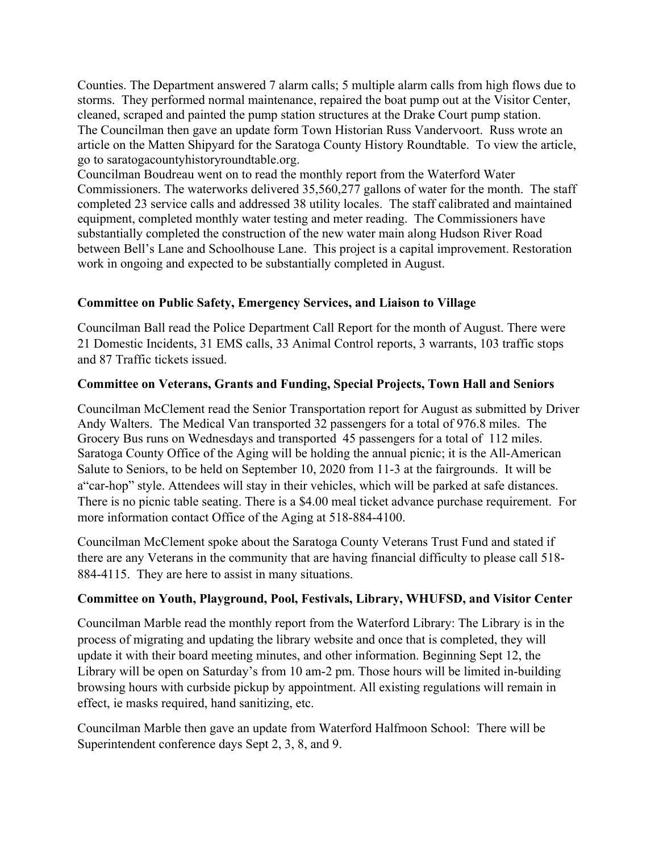Counties. The Department answered 7 alarm calls; 5 multiple alarm calls from high flows due to storms. They performed normal maintenance, repaired the boat pump out at the Visitor Center, cleaned, scraped and painted the pump station structures at the Drake Court pump station. The Councilman then gave an update form Town Historian Russ Vandervoort. Russ wrote an article on the Matten Shipyard for the Saratoga County History Roundtable. To view the article, go to saratogacountyhistoryroundtable.org.

Councilman Boudreau went on to read the monthly report from the Waterford Water Commissioners. The waterworks delivered 35,560,277 gallons of water for the month. The staff completed 23 service calls and addressed 38 utility locales. The staff calibrated and maintained equipment, completed monthly water testing and meter reading. The Commissioners have substantially completed the construction of the new water main along Hudson River Road between Bell's Lane and Schoolhouse Lane. This project is a capital improvement. Restoration work in ongoing and expected to be substantially completed in August.

### **Committee on Public Safety, Emergency Services, and Liaison to Village**

Councilman Ball read the Police Department Call Report for the month of August. There were 21 Domestic Incidents, 31 EMS calls, 33 Animal Control reports, 3 warrants, 103 traffic stops and 87 Traffic tickets issued.

### **Committee on Veterans, Grants and Funding, Special Projects, Town Hall and Seniors**

Councilman McClement read the Senior Transportation report for August as submitted by Driver Andy Walters. The Medical Van transported 32 passengers for a total of 976.8 miles. The Grocery Bus runs on Wednesdays and transported 45 passengers for a total of 112 miles. Saratoga County Office of the Aging will be holding the annual picnic; it is the All-American Salute to Seniors, to be held on September 10, 2020 from 11-3 at the fairgrounds. It will be a"car-hop" style. Attendees will stay in their vehicles, which will be parked at safe distances. There is no picnic table seating. There is a \$4.00 meal ticket advance purchase requirement. For more information contact Office of the Aging at 518-884-4100.

Councilman McClement spoke about the Saratoga County Veterans Trust Fund and stated if there are any Veterans in the community that are having financial difficulty to please call 518- 884-4115. They are here to assist in many situations.

# **Committee on Youth, Playground, Pool, Festivals, Library, WHUFSD, and Visitor Center**

Councilman Marble read the monthly report from the Waterford Library: The Library is in the process of migrating and updating the library website and once that is completed, they will update it with their board meeting minutes, and other information. Beginning Sept 12, the Library will be open on Saturday's from 10 am-2 pm. Those hours will be limited in-building browsing hours with curbside pickup by appointment. All existing regulations will remain in effect, ie masks required, hand sanitizing, etc.

Councilman Marble then gave an update from Waterford Halfmoon School: There will be Superintendent conference days Sept 2, 3, 8, and 9.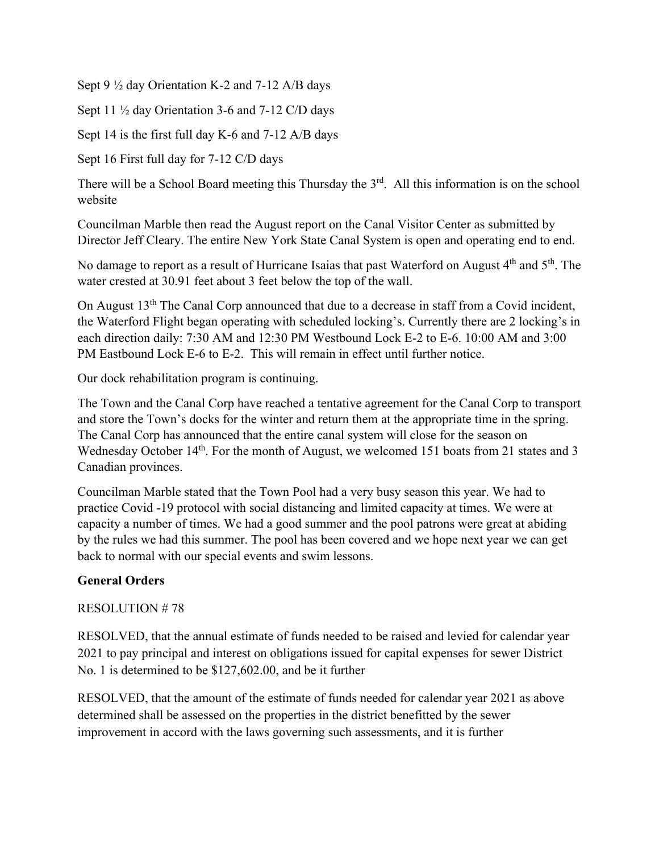Sept 9 ½ day Orientation K-2 and 7-12 A/B days

Sept 11 ½ day Orientation 3-6 and 7-12 C/D days

Sept 14 is the first full day K-6 and 7-12 A/B days

Sept 16 First full day for 7-12 C/D days

There will be a School Board meeting this Thursday the  $3<sup>rd</sup>$ . All this information is on the school website

Councilman Marble then read the August report on the Canal Visitor Center as submitted by Director Jeff Cleary. The entire New York State Canal System is open and operating end to end.

No damage to report as a result of Hurricane Isaias that past Waterford on August 4<sup>th</sup> and 5<sup>th</sup>. The water crested at 30.91 feet about 3 feet below the top of the wall.

On August 13<sup>th</sup> The Canal Corp announced that due to a decrease in staff from a Covid incident, the Waterford Flight began operating with scheduled locking's. Currently there are 2 locking's in each direction daily: 7:30 AM and 12:30 PM Westbound Lock E-2 to E-6. 10:00 AM and 3:00 PM Eastbound Lock E-6 to E-2. This will remain in effect until further notice.

Our dock rehabilitation program is continuing.

The Town and the Canal Corp have reached a tentative agreement for the Canal Corp to transport and store the Town's docks for the winter and return them at the appropriate time in the spring. The Canal Corp has announced that the entire canal system will close for the season on Wednesday October 14<sup>th</sup>. For the month of August, we welcomed 151 boats from 21 states and 3 Canadian provinces.

Councilman Marble stated that the Town Pool had a very busy season this year. We had to practice Covid -19 protocol with social distancing and limited capacity at times. We were at capacity a number of times. We had a good summer and the pool patrons were great at abiding by the rules we had this summer. The pool has been covered and we hope next year we can get back to normal with our special events and swim lessons.

# **General Orders**

RESOLUTION # 78

RESOLVED, that the annual estimate of funds needed to be raised and levied for calendar year 2021 to pay principal and interest on obligations issued for capital expenses for sewer District No. 1 is determined to be \$127,602.00, and be it further

RESOLVED, that the amount of the estimate of funds needed for calendar year 2021 as above determined shall be assessed on the properties in the district benefitted by the sewer improvement in accord with the laws governing such assessments, and it is further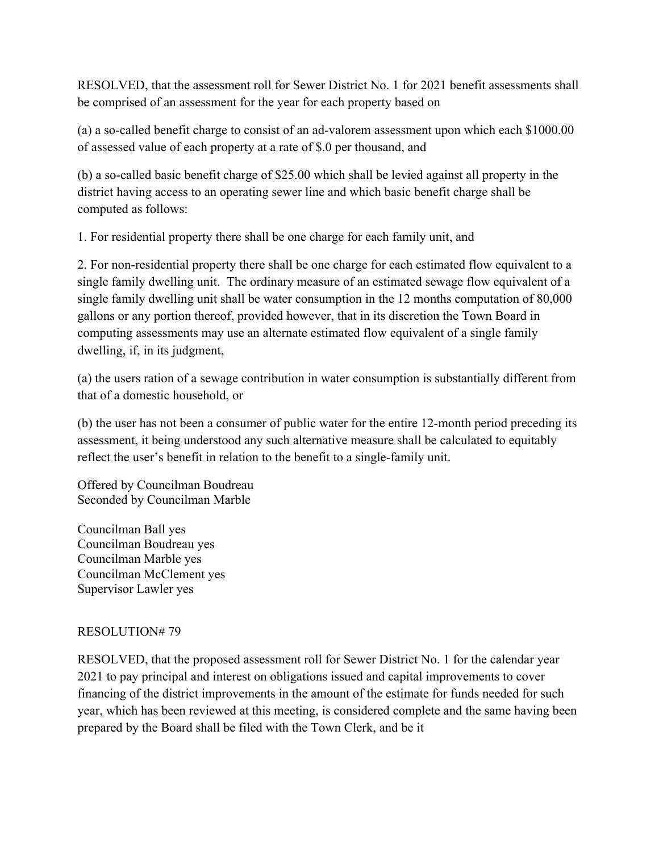RESOLVED, that the assessment roll for Sewer District No. 1 for 2021 benefit assessments shall be comprised of an assessment for the year for each property based on

(a) a so-called benefit charge to consist of an ad-valorem assessment upon which each \$1000.00 of assessed value of each property at a rate of \$.0 per thousand, and

(b) a so-called basic benefit charge of \$25.00 which shall be levied against all property in the district having access to an operating sewer line and which basic benefit charge shall be computed as follows:

1. For residential property there shall be one charge for each family unit, and

2. For non-residential property there shall be one charge for each estimated flow equivalent to a single family dwelling unit. The ordinary measure of an estimated sewage flow equivalent of a single family dwelling unit shall be water consumption in the 12 months computation of 80,000 gallons or any portion thereof, provided however, that in its discretion the Town Board in computing assessments may use an alternate estimated flow equivalent of a single family dwelling, if, in its judgment,

(a) the users ration of a sewage contribution in water consumption is substantially different from that of a domestic household, or

(b) the user has not been a consumer of public water for the entire 12-month period preceding its assessment, it being understood any such alternative measure shall be calculated to equitably reflect the user's benefit in relation to the benefit to a single-family unit.

Offered by Councilman Boudreau Seconded by Councilman Marble

Councilman Ball yes Councilman Boudreau yes Councilman Marble yes Councilman McClement yes Supervisor Lawler yes

# RESOLUTION# 79

RESOLVED, that the proposed assessment roll for Sewer District No. 1 for the calendar year 2021 to pay principal and interest on obligations issued and capital improvements to cover financing of the district improvements in the amount of the estimate for funds needed for such year, which has been reviewed at this meeting, is considered complete and the same having been prepared by the Board shall be filed with the Town Clerk, and be it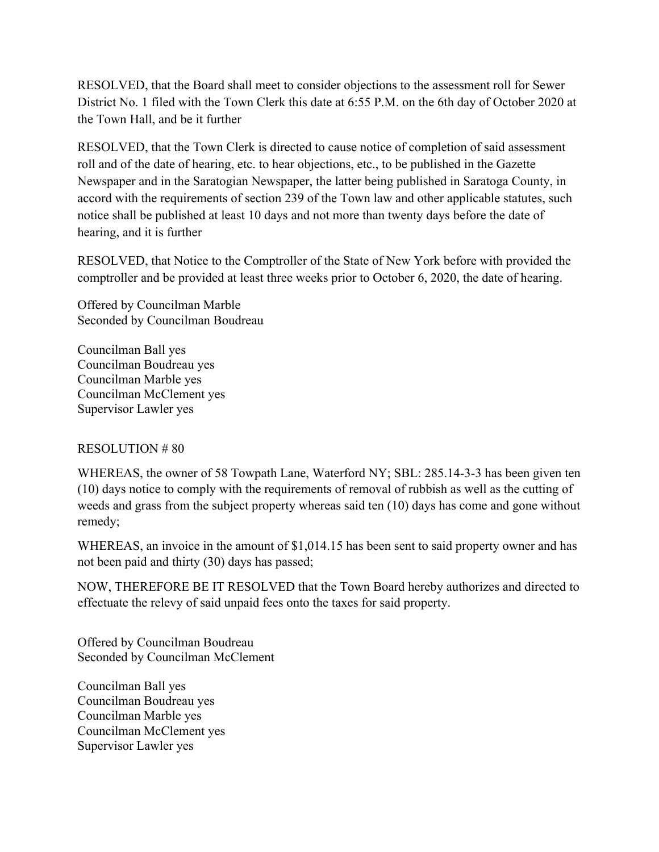RESOLVED, that the Board shall meet to consider objections to the assessment roll for Sewer District No. 1 filed with the Town Clerk this date at 6:55 P.M. on the 6th day of October 2020 at the Town Hall, and be it further

RESOLVED, that the Town Clerk is directed to cause notice of completion of said assessment roll and of the date of hearing, etc. to hear objections, etc., to be published in the Gazette Newspaper and in the Saratogian Newspaper, the latter being published in Saratoga County, in accord with the requirements of section 239 of the Town law and other applicable statutes, such notice shall be published at least 10 days and not more than twenty days before the date of hearing, and it is further

RESOLVED, that Notice to the Comptroller of the State of New York before with provided the comptroller and be provided at least three weeks prior to October 6, 2020, the date of hearing.

Offered by Councilman Marble Seconded by Councilman Boudreau

Councilman Ball yes Councilman Boudreau yes Councilman Marble yes Councilman McClement yes Supervisor Lawler yes

### RESOLUTION # 80

WHEREAS, the owner of 58 Towpath Lane, Waterford NY; SBL: 285.14-3-3 has been given ten (10) days notice to comply with the requirements of removal of rubbish as well as the cutting of weeds and grass from the subject property whereas said ten (10) days has come and gone without remedy;

WHEREAS, an invoice in the amount of \$1,014.15 has been sent to said property owner and has not been paid and thirty (30) days has passed;

NOW, THEREFORE BE IT RESOLVED that the Town Board hereby authorizes and directed to effectuate the relevy of said unpaid fees onto the taxes for said property.

Offered by Councilman Boudreau Seconded by Councilman McClement

Councilman Ball yes Councilman Boudreau yes Councilman Marble yes Councilman McClement yes Supervisor Lawler yes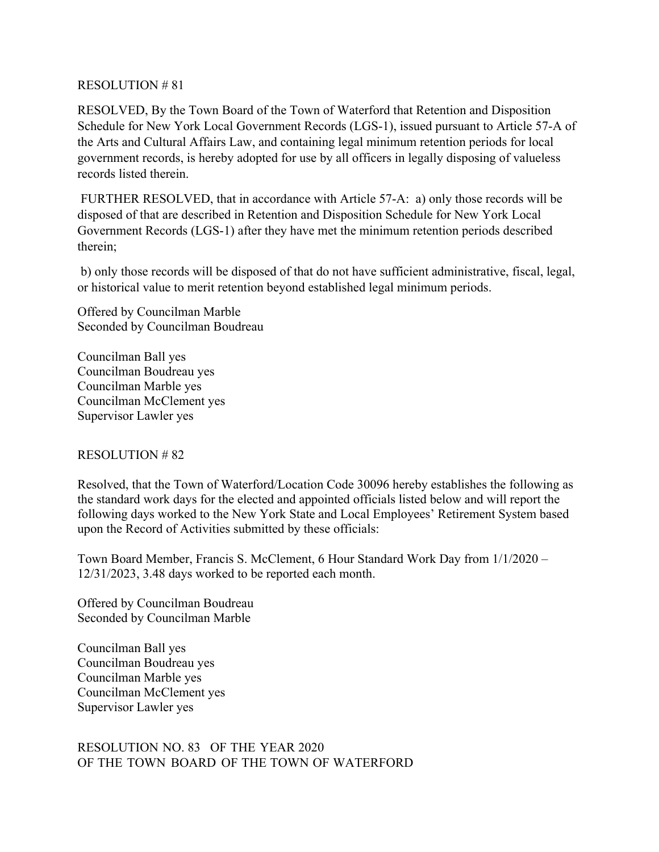#### RESOLUTION # 81

RESOLVED, By the Town Board of the Town of Waterford that Retention and Disposition Schedule for New York Local Government Records (LGS-1), issued pursuant to Article 57-A of the Arts and Cultural Affairs Law, and containing legal minimum retention periods for local government records, is hereby adopted for use by all officers in legally disposing of valueless records listed therein.

 FURTHER RESOLVED, that in accordance with Article 57-A: a) only those records will be disposed of that are described in Retention and Disposition Schedule for New York Local Government Records (LGS-1) after they have met the minimum retention periods described therein;

 b) only those records will be disposed of that do not have sufficient administrative, fiscal, legal, or historical value to merit retention beyond established legal minimum periods.

Offered by Councilman Marble Seconded by Councilman Boudreau

Councilman Ball yes Councilman Boudreau yes Councilman Marble yes Councilman McClement yes Supervisor Lawler yes

### RESOLUTION # 82

Resolved, that the Town of Waterford/Location Code 30096 hereby establishes the following as the standard work days for the elected and appointed officials listed below and will report the following days worked to the New York State and Local Employees' Retirement System based upon the Record of Activities submitted by these officials:

Town Board Member, Francis S. McClement, 6 Hour Standard Work Day from 1/1/2020 – 12/31/2023, 3.48 days worked to be reported each month.

Offered by Councilman Boudreau Seconded by Councilman Marble

Councilman Ball yes Councilman Boudreau yes Councilman Marble yes Councilman McClement yes Supervisor Lawler yes

#### RESOLUTION NO. 83 OF THE YEAR 2020 OF THE TOWN BOARD OF THE TOWN OF WATERFORD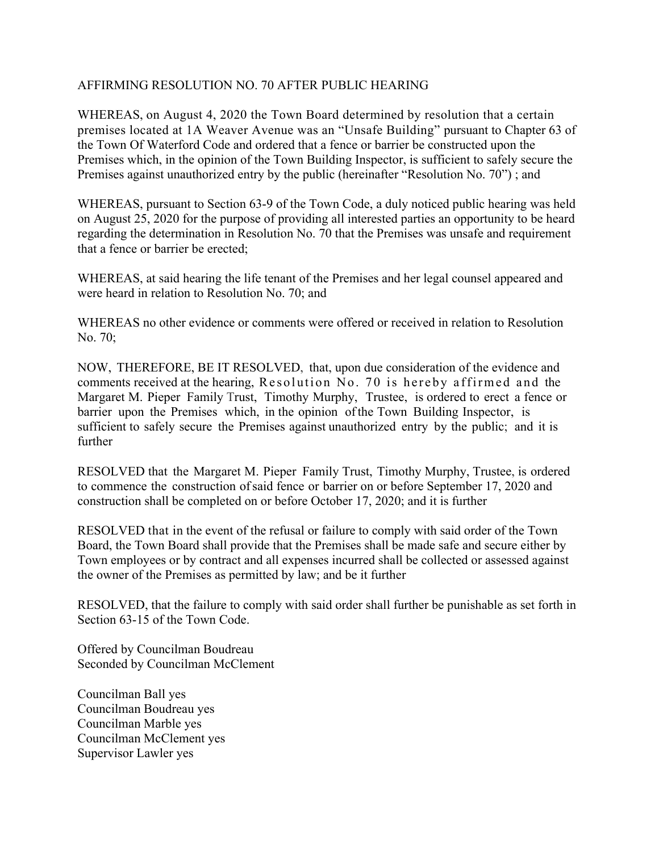## AFFIRMING RESOLUTION NO. 70 AFTER PUBLIC HEARING

WHEREAS, on August 4, 2020 the Town Board determined by resolution that a certain premises located at 1A Weaver Avenue was an "Unsafe Building" pursuant to Chapter 63 of the Town Of Waterford Code and ordered that a fence or barrier be constructed upon the Premises which, in the opinion of the Town Building Inspector, is sufficient to safely secure the Premises against unauthorized entry by the public (hereinafter "Resolution No. 70") ; and

WHEREAS, pursuant to Section 63-9 of the Town Code, a duly noticed public hearing was held on August 25, 2020 for the purpose of providing all interested parties an opportunity to be heard regarding the determination in Resolution No. 70 that the Premises was unsafe and requirement that a fence or barrier be erected;

WHEREAS, at said hearing the life tenant of the Premises and her legal counsel appeared and were heard in relation to Resolution No. 70; and

WHEREAS no other evidence or comments were offered or received in relation to Resolution No. 70;

NOW, THEREFORE, BE IT RESOLVED, that, upon due consideration of the evidence and comments received at the hearing, Resolution No. 70 is hereby affirmed and the Margaret M. Pieper Family Trust, Timothy Murphy, Trustee, is ordered to erect a fence or barrier upon the Premises which, in the opinion of the Town Building Inspector, is sufficient to safely secure the Premises against unauthorized entry by the public; and it is further

RESOLVED that the Margaret M. Pieper Family Trust, Timothy Murphy, Trustee, is ordered to commence the construction of said fence or barrier on or before September 17, 2020 and construction shall be completed on or before October 17, 2020; and it is further

RESOLVED that in the event of the refusal or failure to comply with said order of the Town Board, the Town Board shall provide that the Premises shall be made safe and secure either by Town employees or by contract and all expenses incurred shall be collected or assessed against the owner of the Premises as permitted by law; and be it further

RESOLVED, that the failure to comply with said order shall further be punishable as set forth in Section 63-15 of the Town Code.

Offered by Councilman Boudreau Seconded by Councilman McClement

Councilman Ball yes Councilman Boudreau yes Councilman Marble yes Councilman McClement yes Supervisor Lawler yes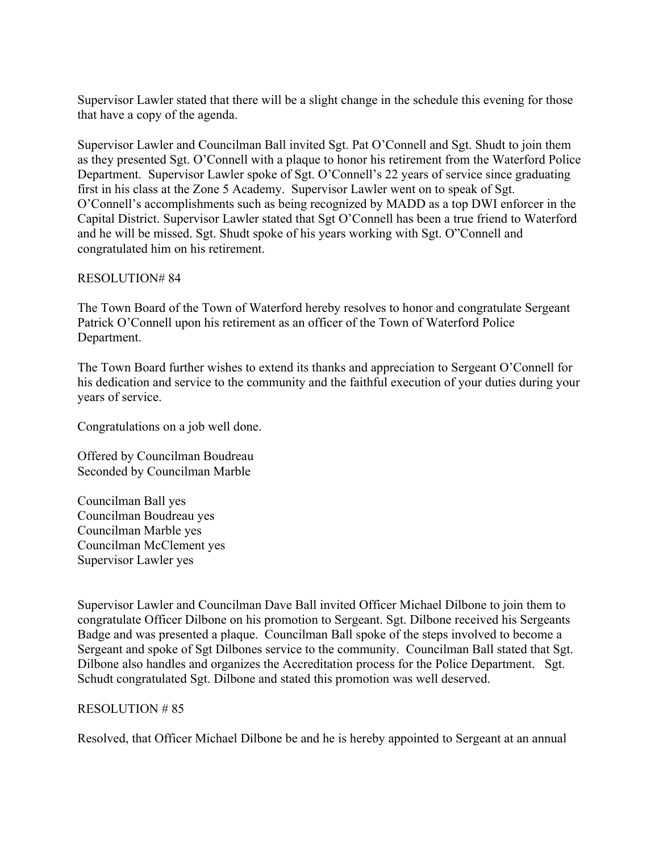Supervisor Lawler stated that there will be a slight change in the schedule this evening for those that have a copy of the agenda.

Supervisor Lawler and Councilman Ball invited Sgt. Pat O'Connell and Sgt. Shudt to join them as they presented Sgt. O'Connell with a plaque to honor his retirement from the Waterford Police Department. Supervisor Lawler spoke of Sgt. O'Connell's 22 years of service since graduating first in his class at the Zone 5 Academy. Supervisor Lawler went on to speak of Sgt. O'Connell's accomplishments such as being recognized by MADD as a top DWI enforcer in the Capital District. Supervisor Lawler stated that Sgt O'Connell has been a true friend to Waterford and he will be missed. Sgt. Shudt spoke of his years working with Sgt. O"Connell and congratulated him on his retirement.

#### RESOLUTION# 84

The Town Board of the Town of Waterford hereby resolves to honor and congratulate Sergeant Patrick O'Connell upon his retirement as an officer of the Town of Waterford Police Department.

The Town Board further wishes to extend its thanks and appreciation to Sergeant O'Connell for his dedication and service to the community and the faithful execution of your duties during your years of service.

Congratulations on a job well done.

Offered by Councilman Boudreau Seconded by Councilman Marble

Councilman Ball yes Councilman Boudreau yes Councilman Marble yes Councilman McClement yes Supervisor Lawler yes

Supervisor Lawler and Councilman Dave Ball invited Officer Michael Dilbone to join them to congratulate Officer Dilbone on his promotion to Sergeant. Sgt. Dilbone received his Sergeants Badge and was presented a plaque. Councilman Ball spoke of the steps involved to become a Sergeant and spoke of Sgt Dilbones service to the community. Councilman Ball stated that Sgt. Dilbone also handles and organizes the Accreditation process for the Police Department. Sgt. Schudt congratulated Sgt. Dilbone and stated this promotion was well deserved.

#### RESOLUTION # 85

Resolved, that Officer Michael Dilbone be and he is hereby appointed to Sergeant at an annual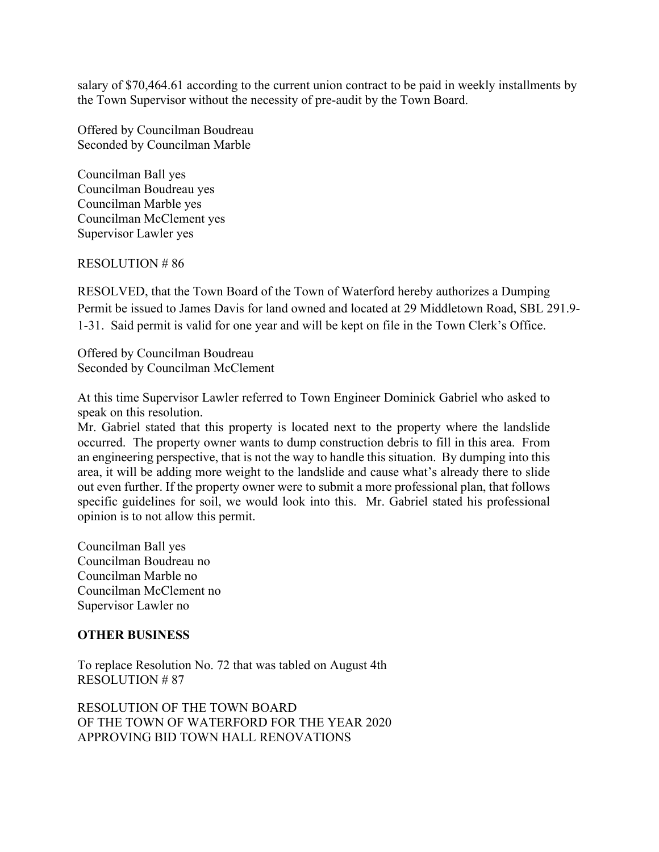salary of \$70,464.61 according to the current union contract to be paid in weekly installments by the Town Supervisor without the necessity of pre-audit by the Town Board.

Offered by Councilman Boudreau Seconded by Councilman Marble

Councilman Ball yes Councilman Boudreau yes Councilman Marble yes Councilman McClement yes Supervisor Lawler yes

RESOLUTION # 86

RESOLVED, that the Town Board of the Town of Waterford hereby authorizes a Dumping Permit be issued to James Davis for land owned and located at 29 Middletown Road, SBL 291.9- 1-31. Said permit is valid for one year and will be kept on file in the Town Clerk's Office.

Offered by Councilman Boudreau Seconded by Councilman McClement

At this time Supervisor Lawler referred to Town Engineer Dominick Gabriel who asked to speak on this resolution.

Mr. Gabriel stated that this property is located next to the property where the landslide occurred. The property owner wants to dump construction debris to fill in this area. From an engineering perspective, that is not the way to handle this situation. By dumping into this area, it will be adding more weight to the landslide and cause what's already there to slide out even further. If the property owner were to submit a more professional plan, that follows specific guidelines for soil, we would look into this. Mr. Gabriel stated his professional opinion is to not allow this permit.

Councilman Ball yes Councilman Boudreau no Councilman Marble no Councilman McClement no Supervisor Lawler no

### **OTHER BUSINESS**

To replace Resolution No. 72 that was tabled on August 4th RESOLUTION # 87

RESOLUTION OF THE TOWN BOARD OF THE TOWN OF WATERFORD FOR THE YEAR 2020 APPROVING BID TOWN HALL RENOVATIONS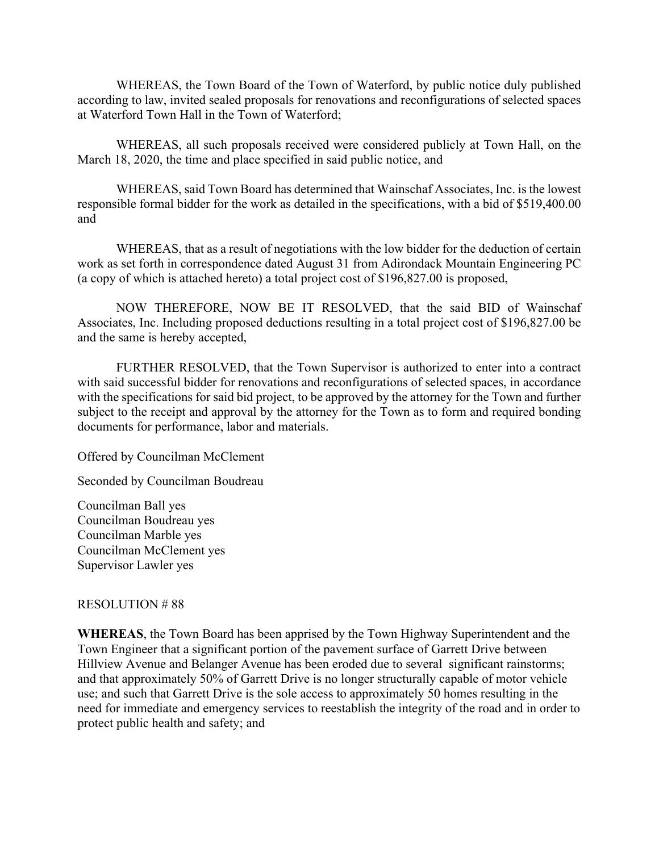WHEREAS, the Town Board of the Town of Waterford, by public notice duly published according to law, invited sealed proposals for renovations and reconfigurations of selected spaces at Waterford Town Hall in the Town of Waterford;

WHEREAS, all such proposals received were considered publicly at Town Hall, on the March 18, 2020, the time and place specified in said public notice, and

WHEREAS, said Town Board has determined that Wainschaf Associates, Inc. is the lowest responsible formal bidder for the work as detailed in the specifications, with a bid of \$519,400.00 and

WHEREAS, that as a result of negotiations with the low bidder for the deduction of certain work as set forth in correspondence dated August 31 from Adirondack Mountain Engineering PC (a copy of which is attached hereto) a total project cost of \$196,827.00 is proposed,

NOW THEREFORE, NOW BE IT RESOLVED, that the said BID of Wainschaf Associates, Inc. Including proposed deductions resulting in a total project cost of \$196,827.00 be and the same is hereby accepted,

FURTHER RESOLVED, that the Town Supervisor is authorized to enter into a contract with said successful bidder for renovations and reconfigurations of selected spaces, in accordance with the specifications for said bid project, to be approved by the attorney for the Town and further subject to the receipt and approval by the attorney for the Town as to form and required bonding documents for performance, labor and materials.

Offered by Councilman McClement

Seconded by Councilman Boudreau

Councilman Ball yes Councilman Boudreau yes Councilman Marble yes Councilman McClement yes Supervisor Lawler yes

### RESOLUTION # 88

**WHEREAS**, the Town Board has been apprised by the Town Highway Superintendent and the Town Engineer that a significant portion of the pavement surface of Garrett Drive between Hillview Avenue and Belanger Avenue has been eroded due to several significant rainstorms; and that approximately 50% of Garrett Drive is no longer structurally capable of motor vehicle use; and such that Garrett Drive is the sole access to approximately 50 homes resulting in the need for immediate and emergency services to reestablish the integrity of the road and in order to protect public health and safety; and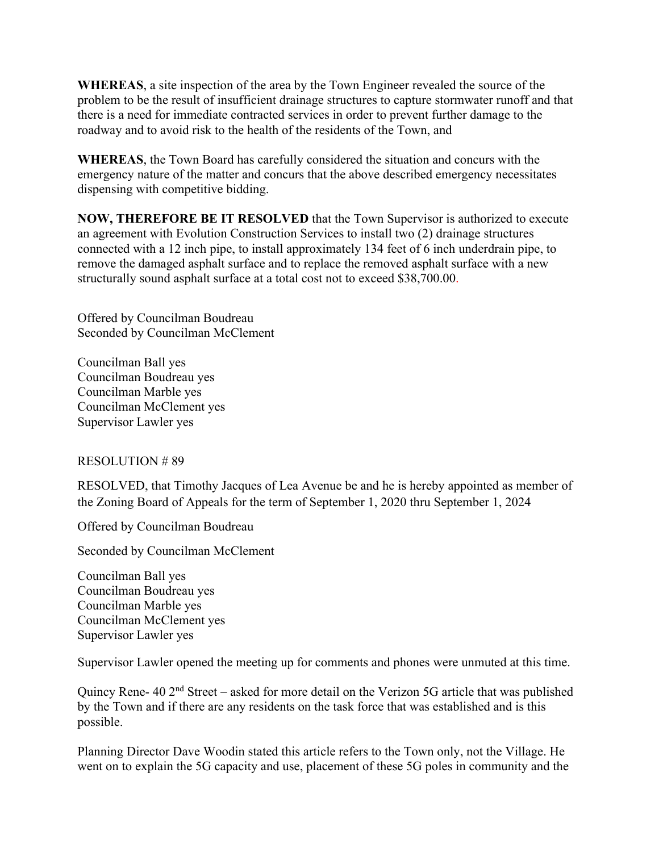**WHEREAS**, a site inspection of the area by the Town Engineer revealed the source of the problem to be the result of insufficient drainage structures to capture stormwater runoff and that there is a need for immediate contracted services in order to prevent further damage to the roadway and to avoid risk to the health of the residents of the Town, and

**WHEREAS**, the Town Board has carefully considered the situation and concurs with the emergency nature of the matter and concurs that the above described emergency necessitates dispensing with competitive bidding.

**NOW, THEREFORE BE IT RESOLVED** that the Town Supervisor is authorized to execute an agreement with Evolution Construction Services to install two (2) drainage structures connected with a 12 inch pipe, to install approximately 134 feet of 6 inch underdrain pipe, to remove the damaged asphalt surface and to replace the removed asphalt surface with a new structurally sound asphalt surface at a total cost not to exceed \$38,700.00.

Offered by Councilman Boudreau Seconded by Councilman McClement

Councilman Ball yes Councilman Boudreau yes Councilman Marble yes Councilman McClement yes Supervisor Lawler yes

RESOLUTION # 89

RESOLVED, that Timothy Jacques of Lea Avenue be and he is hereby appointed as member of the Zoning Board of Appeals for the term of September 1, 2020 thru September 1, 2024

Offered by Councilman Boudreau

Seconded by Councilman McClement

Councilman Ball yes Councilman Boudreau yes Councilman Marble yes Councilman McClement yes Supervisor Lawler yes

Supervisor Lawler opened the meeting up for comments and phones were unmuted at this time.

Quincy Rene- 40 2nd Street – asked for more detail on the Verizon 5G article that was published by the Town and if there are any residents on the task force that was established and is this possible.

Planning Director Dave Woodin stated this article refers to the Town only, not the Village. He went on to explain the 5G capacity and use, placement of these 5G poles in community and the